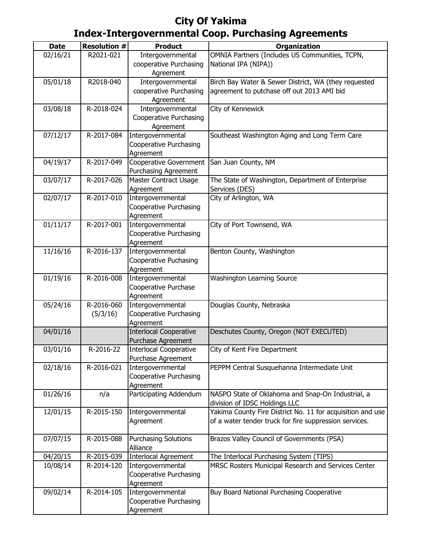| <b>Date</b> | <b>Resolution #</b> | <b>Product</b>                 | <b>Organization</b>                                        |
|-------------|---------------------|--------------------------------|------------------------------------------------------------|
| 02/16/21    | R2021-021           | Intergovernmental              | OMNIA Partners (Includes US Communities, TCPN,             |
|             |                     |                                | National IPA (NIPA))                                       |
|             |                     | cooperative Purchasing         |                                                            |
|             | R2018-040           | Agreement<br>Intergovernmental | Birch Bay Water & Sewer District, WA (they requested       |
| 05/01/18    |                     |                                |                                                            |
|             |                     | cooperative Purchasing         | agreement to putchase off out 2013 AMI bid                 |
|             | R-2018-024          | Agreement                      |                                                            |
| 03/08/18    |                     | Intergovernmental              | City of Kennewick                                          |
|             |                     | Cooperative Purchasing         |                                                            |
| 07/12/17    | R-2017-084          | Agreement<br>Intergovernmental | Southeast Washington Aging and Long Term Care              |
|             |                     | Cooperative Purchasing         |                                                            |
|             |                     | Agreement                      |                                                            |
| 04/19/17    | R-2017-049          | Cooperative Government         | San Juan County, NM                                        |
|             |                     | <b>Purchasing Agreement</b>    |                                                            |
| 03/07/17    | R-2017-026          | Master Contract Usage          | The State of Washington, Department of Enterprise          |
|             |                     | Agreement                      | Services (DES)                                             |
| 02/07/17    | R-2017-010          | Intergovernmental              | City of Arlington, WA                                      |
|             |                     | Cooperative Purchasing         |                                                            |
|             |                     | Agreement                      |                                                            |
| 01/11/17    | $R-2017-001$        | Intergovernmental              | City of Port Townsend, WA                                  |
|             |                     | Cooperative Purchasing         |                                                            |
|             |                     | Agreement                      |                                                            |
| 11/16/16    | R-2016-137          | Intergovernmental              | Benton County, Washington                                  |
|             |                     | Cooperative Puchasing          |                                                            |
|             |                     | Agreement                      |                                                            |
| 01/19/16    | R-2016-008          | Intergovernmental              | <b>Washington Learning Source</b>                          |
|             |                     | Cooperative Purchase           |                                                            |
|             |                     | Agreement                      |                                                            |
| 05/24/16    | R-2016-060          | Intergovernmental              | Douglas County, Nebraska                                   |
|             | (5/3/16)            | Cooperative Purchasing         |                                                            |
|             |                     | Agreement                      |                                                            |
| 04/01/16    |                     | <b>Interlocal Cooperative</b>  | Deschutes County, Oregon (NOT EXECUTED)                    |
|             |                     | Purchase Agreement             |                                                            |
| 03/01/16    | R-2016-22           | Interlocal Cooperative         | City of Kent Fire Department                               |
|             |                     | Purchase Agreement             |                                                            |
| 02/18/16    | R-2016-021          | Intergovernmental              | PEPPM Central Susquehanna Intermediate Unit                |
|             |                     | Cooperative Purchasing         |                                                            |
|             |                     | Agreement                      |                                                            |
| 01/26/16    | n/a                 | Participating Addendum         | NASPO State of Oklahoma and Snap-On Industrial, a          |
|             |                     |                                | division of IDSC Holdings LLC                              |
| 12/01/15    | R-2015-150          | Intergovernmental              | Yakima County Fire District No. 11 for acquisition and use |
|             |                     | Agreement                      | of a water tender truck for fire suppression services.     |
|             |                     |                                |                                                            |
| 07/07/15    | R-2015-088          | <b>Purchasing Solutions</b>    | Brazos Valley Council of Governments (PSA)                 |
|             |                     | Alliance                       |                                                            |
| 04/20/15    | R-2015-039          | <b>Interlocal Agreement</b>    | The Interlocal Purchasing System (TIPS)                    |
| 10/08/14    | R-2014-120          | Intergovernmental              | MRSC Rosters Municipal Research and Services Center        |
|             |                     | Cooperative Purchasing         |                                                            |
|             | R-2014-105          | Agreement                      |                                                            |
| 09/02/14    |                     | Intergovernmental              | Buy Board National Purchasing Cooperative                  |
|             |                     | Cooperative Purchasing         |                                                            |
|             |                     | Agreement                      |                                                            |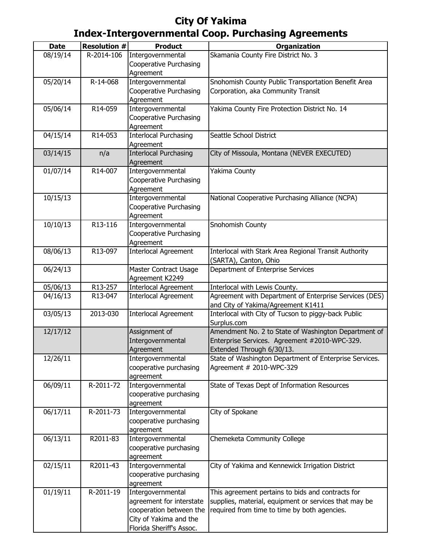| <b>Date</b> | <b>Resolution #</b> | <b>Product</b>               | <b>Organization</b>                                                                     |
|-------------|---------------------|------------------------------|-----------------------------------------------------------------------------------------|
| 08/19/14    | R-2014-106          | Intergovernmental            | Skamania County Fire District No. 3                                                     |
|             |                     | Cooperative Purchasing       |                                                                                         |
|             |                     | Agreement                    |                                                                                         |
| 05/20/14    | R-14-068            | Intergovernmental            | Snohomish County Public Transportation Benefit Area                                     |
|             |                     | Cooperative Purchasing       | Corporation, aka Community Transit                                                      |
|             |                     | Agreement                    |                                                                                         |
| 05/06/14    | R14-059             | Intergovernmental            | Yakima County Fire Protection District No. 14                                           |
|             |                     | Cooperative Purchasing       |                                                                                         |
|             |                     | Agreement                    |                                                                                         |
| 04/15/14    | R14-053             | <b>Interlocal Purchasing</b> | Seattle School District                                                                 |
|             |                     | Agreement                    |                                                                                         |
| 03/14/15    | n/a                 | <b>Interlocal Purchasing</b> | City of Missoula, Montana (NEVER EXECUTED)                                              |
|             |                     | Agreement                    |                                                                                         |
| 01/07/14    | R14-007             | Intergovernmental            | Yakima County                                                                           |
|             |                     | Cooperative Purchasing       |                                                                                         |
|             |                     | Agreement                    |                                                                                         |
| 10/15/13    |                     | Intergovernmental            | National Cooperative Purchasing Alliance (NCPA)                                         |
|             |                     | Cooperative Purchasing       |                                                                                         |
|             |                     | Agreement                    |                                                                                         |
| 10/10/13    | R13-116             | Intergovernmental            | Snohomish County                                                                        |
|             |                     | Cooperative Purchasing       |                                                                                         |
|             |                     | Agreement                    |                                                                                         |
| 08/06/13    | R13-097             | <b>Interlocal Agreement</b>  | Interlocal with Stark Area Regional Transit Authority                                   |
|             |                     |                              | (SARTA), Canton, Ohio                                                                   |
| 06/24/13    |                     | Master Contract Usage        | Department of Enterprise Services                                                       |
|             | R13-257             | Agreement K2249              |                                                                                         |
| 05/06/13    | R13-047             | <b>Interlocal Agreement</b>  | Interlocal with Lewis County.<br>Agreement with Department of Enterprise Services (DES) |
| 04/16/13    |                     | <b>Interlocal Agreement</b>  | and City of Yakima/Agreement K1411                                                      |
| 03/05/13    | 2013-030            | <b>Interlocal Agreement</b>  | Interlocal with City of Tucson to piggy-back Public                                     |
|             |                     |                              | Surplus.com                                                                             |
| 12/17/12    |                     | Assignment of                | Amendment No. 2 to State of Washington Department of                                    |
|             |                     | Intergovernmental            | Enterprise Services. Agreement #2010-WPC-329.                                           |
|             |                     | Agreement                    | Extended Through 6/30/13.                                                               |
| 12/26/11    |                     | Intergovernmental            | State of Washington Department of Enterprise Services.                                  |
|             |                     | cooperative purchasing       | Agreement # 2010-WPC-329                                                                |
|             |                     | agreement                    |                                                                                         |
| 06/09/11    | R-2011-72           | Intergovernmental            | State of Texas Dept of Information Resources                                            |
|             |                     | cooperative purchasing       |                                                                                         |
|             |                     | agreement                    |                                                                                         |
| 06/17/11    | R-2011-73           | Intergovernmental            | City of Spokane                                                                         |
|             |                     | cooperative purchasing       |                                                                                         |
|             |                     | agreement                    |                                                                                         |
| 06/13/11    | R2011-83            | Intergovernmental            | Chemeketa Community College                                                             |
|             |                     | cooperative purchasing       |                                                                                         |
|             |                     | agreement                    |                                                                                         |
| 02/15/11    | R2011-43            | Intergovernmental            | City of Yakima and Kennewick Irrigation District                                        |
|             |                     | cooperative purchasing       |                                                                                         |
|             |                     | agreement                    |                                                                                         |
| 01/19/11    | R-2011-19           | Intergovernmental            | This agreement pertains to bids and contracts for                                       |
|             |                     | agreement for interstate     | supplies, material, equipment or services that may be                                   |
|             |                     | cooperation between the      | required from time to time by both agencies.                                            |
|             |                     | City of Yakima and the       |                                                                                         |
|             |                     | Florida Sheriff's Assoc.     |                                                                                         |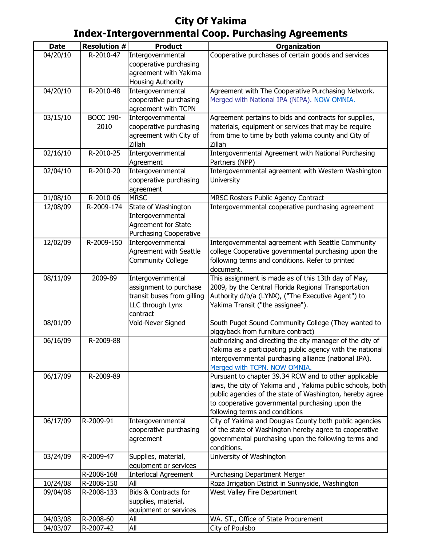| <b>Date</b> | <b>Resolution #</b> | <b>Product</b>                                  | <b>Organization</b>                                                                                            |
|-------------|---------------------|-------------------------------------------------|----------------------------------------------------------------------------------------------------------------|
| 04/20/10    | R-2010-47           |                                                 | Cooperative purchases of certain goods and services                                                            |
|             |                     | Intergovernmental                               |                                                                                                                |
|             |                     | cooperative purchasing<br>agreement with Yakima |                                                                                                                |
|             |                     | <b>Housing Authority</b>                        |                                                                                                                |
| 04/20/10    | R-2010-48           | Intergovernmental                               | Agreement with The Cooperative Purchasing Network.                                                             |
|             |                     |                                                 |                                                                                                                |
|             |                     | cooperative purchasing                          | Merged with National IPA (NIPA). NOW OMNIA.                                                                    |
|             |                     | agreement with TCPN                             |                                                                                                                |
| 03/15/10    | <b>BOCC 190-</b>    | Intergovernmental                               | Agreement pertains to bids and contracts for supplies,<br>materials, equipment or services that may be require |
|             | 2010                | cooperative purchasing                          |                                                                                                                |
|             |                     | agreement with City of<br>Zillah                | from time to time by both yakima county and City of<br>Zillah                                                  |
|             | R-2010-25           |                                                 |                                                                                                                |
| 02/16/10    |                     | Intergovernmental                               | Intergovermental Agreement with National Purchasing                                                            |
|             | R-2010-20           | Agreement                                       | Partners (NPP)                                                                                                 |
| 02/04/10    |                     | Intergovernmental                               | Intergovernmental agreement with Western Washington                                                            |
|             |                     | cooperative purchasing                          | University                                                                                                     |
|             |                     | agreement                                       |                                                                                                                |
| 01/08/10    | R-2010-06           | <b>MRSC</b>                                     | MRSC Rosters Public Agency Contract                                                                            |
| 12/08/09    | R-2009-174          | State of Washington                             | Intergovernmental cooperative purchasing agreement                                                             |
|             |                     | Intergovernmental                               |                                                                                                                |
|             |                     | Agreement for State                             |                                                                                                                |
|             |                     | <b>Purchasing Cooperative</b>                   |                                                                                                                |
| 12/02/09    | R-2009-150          | Intergovernmental                               | Intergovernmental agreement with Seattle Community                                                             |
|             |                     | Agreement with Seattle                          | college Cooperative governmental purchasing upon the                                                           |
|             |                     | <b>Community College</b>                        | following terms and conditions. Refer to printed                                                               |
|             |                     |                                                 | document.                                                                                                      |
| 08/11/09    | 2009-89             | Intergovernmental                               | This assignment is made as of this 13th day of May,                                                            |
|             |                     | assignment to purchase                          | 2009, by the Central Florida Regional Transportation                                                           |
|             |                     | transit buses from gilling                      | Authority d/b/a (LYNX), ("The Executive Agent") to                                                             |
|             |                     | LLC through Lynx                                | Yakima Transit ("the assignee").                                                                               |
|             |                     | contract                                        |                                                                                                                |
| 08/01/09    |                     | Void-Never Signed                               | South Puget Sound Community College (They wanted to                                                            |
|             |                     |                                                 | piggyback from furniture contract)                                                                             |
| 06/16/09    | R-2009-88           |                                                 | authorizing and directing the city manager of the city of                                                      |
|             |                     |                                                 | Yakima as a participating public agency with the national                                                      |
|             |                     |                                                 | intergovernmental purchasing alliance (national IPA).                                                          |
|             |                     |                                                 | Merged with TCPN. NOW OMNIA.                                                                                   |
| 06/17/09    | R-2009-89           |                                                 | Pursuant to chapter 39.34 RCW and to other applicable                                                          |
|             |                     |                                                 | laws, the city of Yakima and, Yakima public schools, both                                                      |
|             |                     |                                                 | public agencies of the state of Washington, hereby agree                                                       |
|             |                     |                                                 | to cooperative governmental purchasing upon the                                                                |
|             |                     |                                                 | following terms and conditions                                                                                 |
| 06/17/09    | R-2009-91           | Intergovernmental                               | City of Yakima and Douglas County both public agencies                                                         |
|             |                     | cooperative purchasing                          | of the state of Washington hereby agree to cooperative                                                         |
|             |                     | agreement                                       | governmental purchasing upon the following terms and                                                           |
|             |                     |                                                 | conditions.                                                                                                    |
| 03/24/09    | R-2009-47           | Supplies, material,                             | University of Washington                                                                                       |
|             |                     | equipment or services                           |                                                                                                                |
|             | R-2008-168          | <b>Interlocal Agreement</b>                     | Purchasing Department Merger                                                                                   |
| 10/24/08    | R-2008-150          | All                                             | Roza Irrigation District in Sunnyside, Washington                                                              |
| 09/04/08    | R-2008-133          | Bids & Contracts for                            | West Valley Fire Department                                                                                    |
|             |                     | supplies, material,                             |                                                                                                                |
|             |                     | equipment or services                           |                                                                                                                |
| 04/03/08    | R-2008-60           | All                                             | WA. ST., Office of State Procurement                                                                           |
| 04/03/07    | R-2007-42           | All                                             | City of Poulsbo                                                                                                |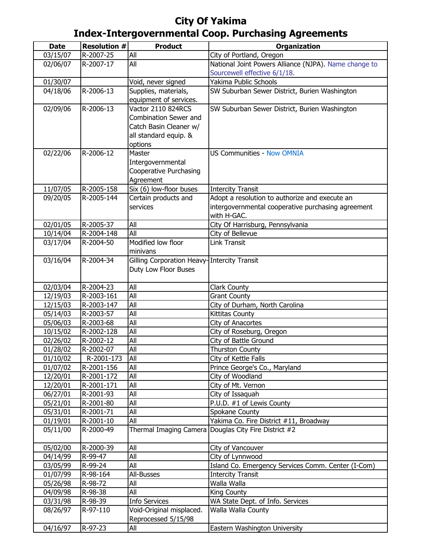| <b>Date</b>          | <b>Resolution #</b>     | <b>Product</b>                               | <b>Organization</b>                                   |
|----------------------|-------------------------|----------------------------------------------|-------------------------------------------------------|
| 03/15/07             | R-2007-25               | All                                          | City of Portland, Oregon                              |
| 02/06/07             | R-2007-17               | All                                          | National Joint Powers Alliance (NJPA). Name change to |
|                      |                         |                                              | Sourcewell effective 6/1/18.                          |
| 01/30/07             |                         | Void, never signed                           | Yakima Public Schools                                 |
| 04/18/06             | R-2006-13               | Supplies, materials,                         | SW Suburban Sewer District, Burien Washington         |
|                      |                         | equipment of services.                       |                                                       |
| 02/09/06             | R-2006-13               | Vactor 2110 824RCS                           | SW Suburban Sewer District, Burien Washington         |
|                      |                         | <b>Combination Sewer and</b>                 |                                                       |
|                      |                         | Catch Basin Cleaner w/                       |                                                       |
|                      |                         | all standard equip. &                        |                                                       |
|                      |                         | options                                      |                                                       |
| 02/22/06             | R-2006-12               | Master                                       | <b>US Communities - Now OMNIA</b>                     |
|                      |                         | Intergovernmental                            |                                                       |
|                      |                         | <b>Cooperative Purchasing</b>                |                                                       |
|                      |                         | Agreement                                    |                                                       |
| 11/07/05             | R-2005-158              | Six (6) low-floor buses                      | <b>Intercity Transit</b>                              |
| 09/20/05             | R-2005-144              | Certain products and                         | Adopt a resolution to authorize and execute an        |
|                      |                         | services                                     | intergovernmental cooperative purchasing agreement    |
|                      |                         |                                              | with H-GAC.                                           |
| 02/01/05             | R-2005-37               | All                                          | City Of Harrisburg, Pennsylvania                      |
| 10/14/04             | R-2004-148              | All                                          | City of Bellevue                                      |
| 03/17/04             | R-2004-50               | Modified low floor                           | <b>Link Transit</b>                                   |
|                      |                         | minivans                                     |                                                       |
| 03/16/04             | R-2004-34               | Gilling Corporation Heavy- Intercity Transit |                                                       |
|                      |                         | Duty Low Floor Buses                         |                                                       |
|                      |                         |                                              |                                                       |
| 02/03/04<br>12/19/03 | R-2004-23<br>R-2003-161 | All<br>All                                   | Clark County                                          |
| 12/15/03             | R-2003-147              | All                                          | <b>Grant County</b><br>City of Durham, North Carolina |
| 05/14/03             | R-2003-57               | All                                          | Kittitas County                                       |
| 05/06/03             | R-2003-68               | All                                          | City of Anacortes                                     |
| 10/15/02             | R-2002-128              | All                                          | City of Roseburg, Oregon                              |
| 02/26/02             | R-2002-12               | All                                          | City of Battle Ground                                 |
| 01/28/02             | R-2002-07               | All                                          | Thurston County                                       |
| 01/10/02             | R-2001-173              | All                                          | City of Kettle Falls                                  |
| 01/07/02             | R-2001-156              | All                                          | Prince George's Co., Maryland                         |
| 12/20/01             | R-2001-172              | All                                          | City of Woodland                                      |
| 12/20/01             | R-2001-171              | All                                          | City of Mt. Vernon                                    |
| 06/27/01             | R-2001-93               | All                                          | City of Issaquah                                      |
| 05/21/01             | R-2001-80               | All                                          | P.U.D. #1 of Lewis County                             |
| 05/31/01             | R-2001-71               | All                                          | Spokane County                                        |
| 01/19/01             | R-2001-10               | All                                          | Yakima Co. Fire District #11, Broadway                |
| 05/11/00             | R-2000-49               |                                              | Thermal Imaging Camera Douglas City Fire District #2  |
|                      |                         |                                              |                                                       |
| 05/02/00             | R-2000-39               | All                                          | City of Vancouver                                     |
| 04/14/99             | R-99-47                 | All                                          | City of Lynnwood                                      |
| 03/05/99             | R-99-24                 | All                                          | Island Co. Emergency Services Comm. Center (I-Com)    |
| 01/07/99             | R-98-164                | All-Busses                                   | <b>Intercity Transit</b>                              |
| 05/26/98             | R-98-72                 | All                                          | Walla Walla                                           |
| 04/09/98             | R-98-38                 | All                                          | King County                                           |
| 03/31/98             | R-98-39                 | <b>Info Services</b>                         | WA State Dept. of Info. Services                      |
| 08/26/97             | R-97-110                | Void-Original misplaced.                     | Walla Walla County                                    |
|                      |                         | Reprocessed 5/15/98                          |                                                       |
| 04/16/97             | R-97-23                 | All                                          | Eastern Washington University                         |